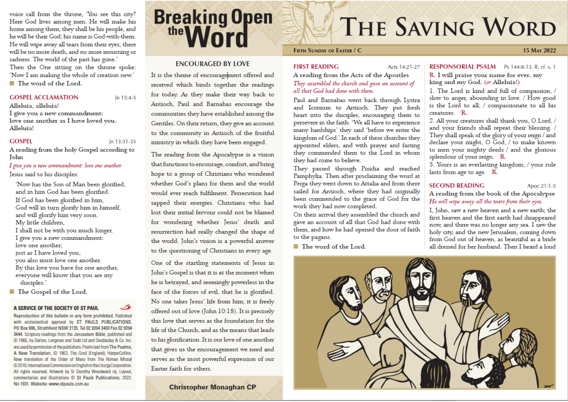voice call from the throne. 'You see this city? Here God lives among men. He will make his home among them; they shall be his people, and he will be their God; his name is God-with-them. He will wipe away all tears from their eyes; there will be no more death, and no more mourning or sadness. The world of the past has gone.' Then the One sitting on the throne spoke: 'Now I am making the whole of creation new.' ■ The word of the Lord.

#### **GOSPEL ACCLAMATION**

In 15:4-5

Alleluia, alleluia! I give you a new commandment: love one another as I have loved you. Alleluia!

#### **GOSPEL**

In 13:31-35

A reading from the holy Gospel according to John

I give you a new commandment: love one another. Jesus said to his disciples:

- 'Now has the Son of Man been glorified, and in him God has been glorified. If God has been glorified in him, God will in turn glorify him in himself, and will glorify him very soon. My little children. I shall not be with you much longer.
- I give you a new commandment: love one another:

just as I have loved you.

- you also must love one another. By this love you have for one another, everyone will know that you are my disciples.'
- The Gospel of the Lord.

#### A SERVICE OF THE SOCIETY OF ST PAUL

Reproduction of this bulletin in any form prohibited. Published with ecclesiastical approval by ST PAULS PUBLICATIONS, PO Box 906, Strathfield NSW 2135. Tel 02 9394 3400 Fax 02 9394 3444. Scripture readings from the Jerusalem Bible, published and C 1966, by Darton, Longman and Todd Ltd and Doubleday & Co. Inc. are used by permission of the publishers. Psalm text from The Psalms, A New Translation, C 1963, The Grail (England), HarperCollins. New translation of the Order of Mass from The Roman Missal @2010, International Commission on English in the Liturgy Corporation. All rights reserved. Artwork by Sr Dorothy Woodward rsj. Layout, commentaries and illustrations C St Pauls Publications, 2022. No 1931. Website: www.stpauls.com.au

# **Breaking Open**

# **ENCOURAGED BY LOVE**

It is the theme of encouragement offered and received which binds together the readings for today. As they make their way back to Antioch, Paul and Barnabas encourage the communities they have established among the Gentiles. On their return, they give an account to the community in Antioch of the fruitful ministry in which they have been engaged.

The reading from the Apocalypse is a vision that functions to encourage, comfort, and bring hope to a group of Christians who wondered whether God's plans for them and the world would ever reach fulfilment. Persecution had sapped their energies. Christians who had lost their initial fervour could not be blamed for wondering whether Jesus' death and resurrection had really changed the shape of the world. John's vision is a powerful answer to the questioning of Christians in every age.

One of the startling statements of Jesus in John's Gospel is that it is at the moment when he is betrayed, and seemingly powerless in the face of the forces of evil, that he is glorified. No one takes Jesus' life from him; it is freely offered out of love (John 10:18). It is precisely this love that serves as the foundation for the life of the Church, and as the means that leads to his glorification. It is our love of one another that gives us the encouragement we need and serves as the most powerful expression of our Easter faith for others.

**Christopher Monaghan CP** 

# THE SAVING WORD

#### **FIFTH SUNDAY OF EASTER / C**

#### **FIRST READING**

#### Acts 14:21-27

A reading from the Acts of the Apostles They assembled the church and gave an account of all that God had done with them.

Paul and Barnabas went back through Lystra and Iconium to Antioch. They put fresh heart into the disciples, encouraging them to persevere in the faith. 'We all have to experience many hardships' they said 'before we enter the kingdom of God.' In each of these churches they appointed elders, and with prayer and fasting they commended them to the Lord in whom they had come to believe.

They passed through Pisidia and reached Pamphylia. Then after proclaiming the word at Perga they went down to Attalia and from there sailed for Antioch, where they had originally been commended to the grace of God for the work they had now completed.

On their arrival they assembled the church and gave an account of all that God had done with them, and how he had opened the door of faith to the pagans.

■ The word of the Lord.

#### RESPONSORIAL PSALM Ps 144:8-13, R, cf. v, 1

R. I will praise your name for ever, my king and my God. (or Alleluia!)

1. The Lord is kind and full of compassion, / slow to anger, abounding in love. / How good is the Lord to all, / compassionate to all his creatures. R.

2. All your creatures shall thank you, O Lord, / and your friends shall repeat their blessing. / They shall speak of the glory of your reign / and declare your might, O God, / to make known to men your mighty deeds / and the glorious splendour of your reign. R.

3. Yours is an everlasting kingdom; / your rule lasts from age to age. R.

#### **SECOND READING**

Apoc 21:1-5

15 MAY 2022

A reading from the book of the Apocalypse He will wipe away all the tears from their eyes.

I, John, saw a new heaven and a new earth; the first heaven and the first earth had disappeared now, and there was no longer any sea. I saw the holy city, and the new Jerusalem, coming down from God out of heaven, as beautiful as a bride all dressed for her husband. Then I heard a loud